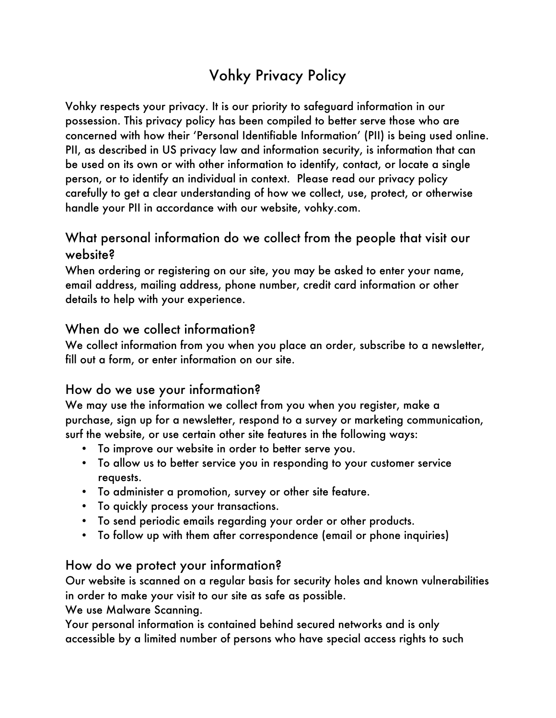# Vohky Privacy Policy

Vohky respects your privacy. It is our priority to safeguard information in our possession. This privacy policy has been compiled to better serve those who are concerned with how their 'Personal Identifiable Information' (PII) is being used online. PII, as described in US privacy law and information security, is information that can be used on its own or with other information to identify, contact, or locate a single person, or to identify an individual in context. Please read our privacy policy carefully to get a clear understanding of how we collect, use, protect, or otherwise handle your PII in accordance with our website, vohky.com.

## What personal information do we collect from the people that visit our website?

When ordering or registering on our site, you may be asked to enter your name, email address, mailing address, phone number, credit card information or other details to help with your experience.

#### When do we collect information?

We collect information from you when you place an order, subscribe to a newsletter, fill out a form, or enter information on our site.

## How do we use your information?

We may use the information we collect from you when you register, make a purchase, sign up for a newsletter, respond to a survey or marketing communication, surf the website, or use certain other site features in the following ways:

- To improve our website in order to better serve you.
- To allow us to better service you in responding to your customer service requests.
- To administer a promotion, survey or other site feature.
- To quickly process your transactions.
- To send periodic emails regarding your order or other products.
- To follow up with them after correspondence (email or phone inquiries)

#### How do we protect your information?

Our website is scanned on a regular basis for security holes and known vulnerabilities in order to make your visit to our site as safe as possible.

We use Malware Scanning.

Your personal information is contained behind secured networks and is only accessible by a limited number of persons who have special access rights to such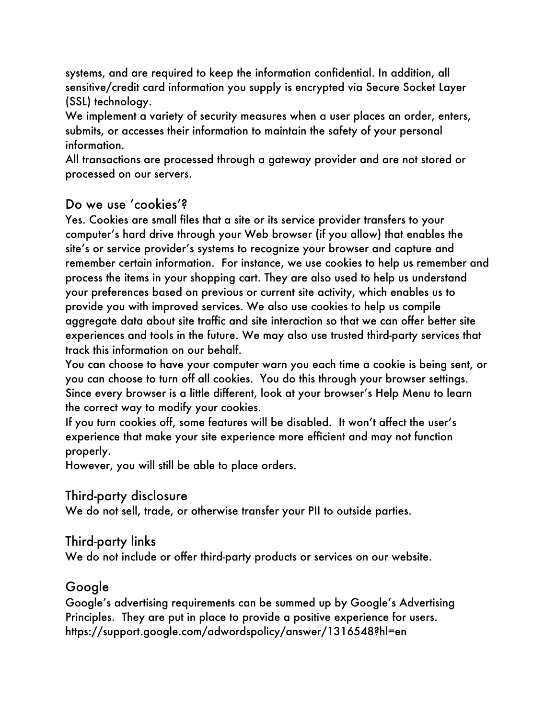systems, and are required to keep the information confidential. In addition, all sensitive/credit card information you supply is encrypted via Secure Socket Layer (SSL) technology.

We implement a variety of security measures when a user places an order, enters, submits, or accesses their information to maintain the safety of your personal information.

All transactions are processed through a gateway provider and are not stored or processed on our servers.

## Do we use 'cookies'?

Yes. Cookies are small files that a site or its service provider transfers to your computer's hard drive through your Web browser (if you allow) that enables the site's or service provider's systems to recognize your browser and capture and remember certain information. For instance, we use cookies to help us remember and process the items in your shopping cart. They are also used to help us understand your preferences based on previous or current site activity, which enables us to provide you with improved services. We also use cookies to help us compile aggregate data about site traffic and site interaction so that we can offer better site experiences and tools in the future. We may also use trusted third-party services that track this information on our behalf.

You can choose to have your computer warn you each time a cookie is being sent, or you can choose to turn off all cookies. You do this through your browser settings. Since every browser is a little different, look at your browser's Help Menu to learn the correct way to modify your cookies.

If you turn cookies off, some features will be disabled. It won't affect the user's experience that make your site experience more efficient and may not function properly.

However, you will still be able to place orders.

#### Third-party disclosure

We do not sell, trade, or otherwise transfer your PII to outside parties.

#### Third-party links

We do not include or offer third-party products or services on our website.

## Google

Google's advertising requirements can be summed up by Google's Advertising Principles. They are put in place to provide a positive experience for users. https://support.google.com/adwordspolicy/answer/1316548?hl=en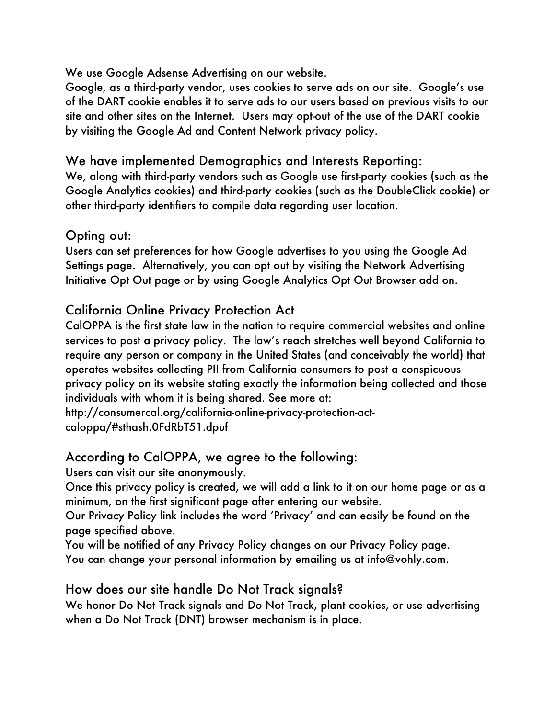We use Google Adsense Advertising on our website.

Google, as a third-party vendor, uses cookies to serve ads on our site. Google's use of the DART cookie enables it to serve ads to our users based on previous visits to our site and other sites on the Internet. Users may opt-out of the use of the DART cookie by visiting the Google Ad and Content Network privacy policy.

#### We have implemented Demographics and Interests Reporting:

We, along with third-party vendors such as Google use first-party cookies (such as the Google Analytics cookies) and third-party cookies (such as the DoubleClick cookie) or other third-party identifiers to compile data regarding user location.

#### Opting out:

Users can set preferences for how Google advertises to you using the Google Ad Settings page. Alternatively, you can opt out by visiting the Network Advertising Initiative Opt Out page or by using Google Analytics Opt Out Browser add on.

## California Online Privacy Protection Act

CalOPPA is the first state law in the nation to require commercial websites and online services to post a privacy policy. The law's reach stretches well beyond California to require any person or company in the United States (and conceivably the world) that operates websites collecting PII from California consumers to post a conspicuous privacy policy on its website stating exactly the information being collected and those individuals with whom it is being shared. See more at:

http://consumercal.org/california-online-privacy-protection-actcaloppa/#sthash.0FdRbT51.dpuf

## According to CalOPPA, we agree to the following:

Users can visit our site anonymously.

Once this privacy policy is created, we will add a link to it on our home page or as a minimum, on the first significant page after entering our website.

Our Privacy Policy link includes the word 'Privacy' and can easily be found on the page specified above.

You will be notified of any Privacy Policy changes on our Privacy Policy page. You can change your personal information by emailing us at info@vohly.com.

## How does our site handle Do Not Track signals?

We honor Do Not Track signals and Do Not Track, plant cookies, or use advertising when a Do Not Track (DNT) browser mechanism is in place.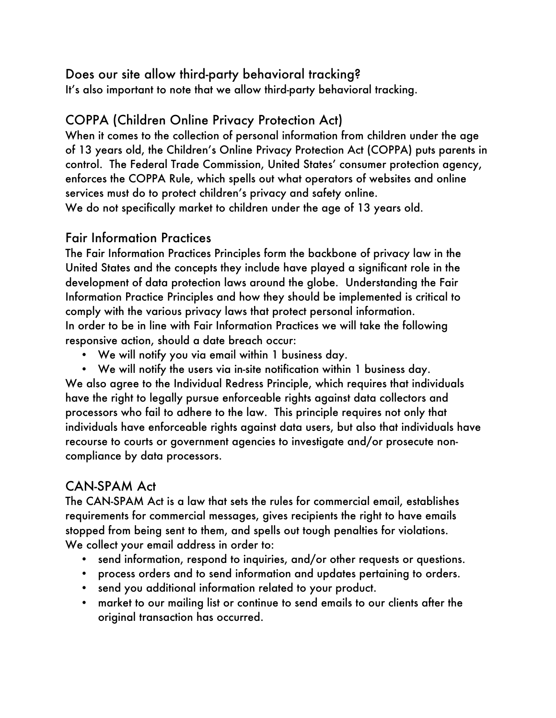## Does our site allow third-party behavioral tracking?

It's also important to note that we allow third-party behavioral tracking.

## COPPA (Children Online Privacy Protection Act)

When it comes to the collection of personal information from children under the age of 13 years old, the Children's Online Privacy Protection Act (COPPA) puts parents in control. The Federal Trade Commission, United States' consumer protection agency, enforces the COPPA Rule, which spells out what operators of websites and online services must do to protect children's privacy and safety online. We do not specifically market to children under the age of 13 years old.

#### Fair Information Practices

The Fair Information Practices Principles form the backbone of privacy law in the United States and the concepts they include have played a significant role in the development of data protection laws around the globe. Understanding the Fair Information Practice Principles and how they should be implemented is critical to comply with the various privacy laws that protect personal information. In order to be in line with Fair Information Practices we will take the following responsive action, should a date breach occur:

- We will notify you via email within 1 business day.
- We will notify the users via in-site notification within 1 business day. We also agree to the Individual Redress Principle, which requires that individuals have the right to legally pursue enforceable rights against data collectors and processors who fail to adhere to the law. This principle requires not only that individuals have enforceable rights against data users, but also that individuals have recourse to courts or government agencies to investigate and/or prosecute noncompliance by data processors.

## CAN-SPAM Act

The CAN-SPAM Act is a law that sets the rules for commercial email, establishes requirements for commercial messages, gives recipients the right to have emails stopped from being sent to them, and spells out tough penalties for violations. We collect your email address in order to:

- send information, respond to inquiries, and/or other requests or questions.
- process orders and to send information and updates pertaining to orders.
- send you additional information related to your product.
- market to our mailing list or continue to send emails to our clients after the original transaction has occurred.